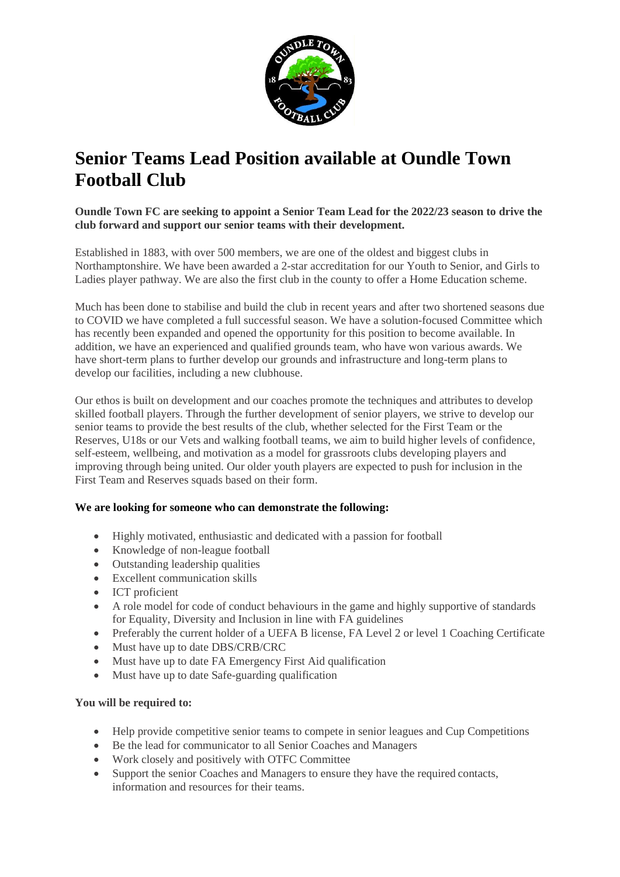

# **Senior Teams Lead Position available at Oundle Town Football Club**

## **Oundle Town FC are seeking to appoint a Senior Team Lead for the 2022/23 season to drive the club forward and support our senior teams with their development.**

Established in 1883, with over 500 members, we are one of the oldest and biggest clubs in Northamptonshire. We have been awarded a 2-star accreditation for our Youth to Senior, and Girls to Ladies player pathway. We are also the first club in the county to offer a Home Education scheme.

Much has been done to stabilise and build the club in recent years and after two shortened seasons due to COVID we have completed a full successful season. We have a solution-focused Committee which has recently been expanded and opened the opportunity for this position to become available. In addition, we have an experienced and qualified grounds team, who have won various awards. We have short-term plans to further develop our grounds and infrastructure and long-term plans to develop our facilities, including a new clubhouse.

Our ethos is built on development and our coaches promote the techniques and attributes to develop skilled football players. Through the further development of senior players, we strive to develop our senior teams to provide the best results of the club, whether selected for the First Team or the Reserves, U18s or our Vets and walking football teams, we aim to build higher levels of confidence, self-esteem, wellbeing, and motivation as a model for grassroots clubs developing players and improving through being united. Our older youth players are expected to push for inclusion in the First Team and Reserves squads based on their form.

## **We are looking for someone who can demonstrate the following:**

- Highly motivated, enthusiastic and dedicated with a passion for football
- Knowledge of non-league football
- Outstanding leadership qualities
- Excellent communication skills
- ICT proficient
- A role model for code of conduct behaviours in the game and highly supportive of standards for Equality, Diversity and Inclusion in line with FA guidelines
- Preferably the current holder of a UEFA B license, FA Level 2 or level 1 Coaching Certificate
- Must have up to date DBS/CRB/CRC
- Must have up to date FA Emergency First Aid qualification
- Must have up to date Safe-guarding qualification

## **You will be required to:**

- Help provide competitive senior teams to compete in senior leagues and Cup Competitions
- Be the lead for communicator to all Senior Coaches and Managers
- Work closely and positively with OTFC Committee
- Support the senior Coaches and Managers to ensure they have the required contacts, information and resources for their teams.